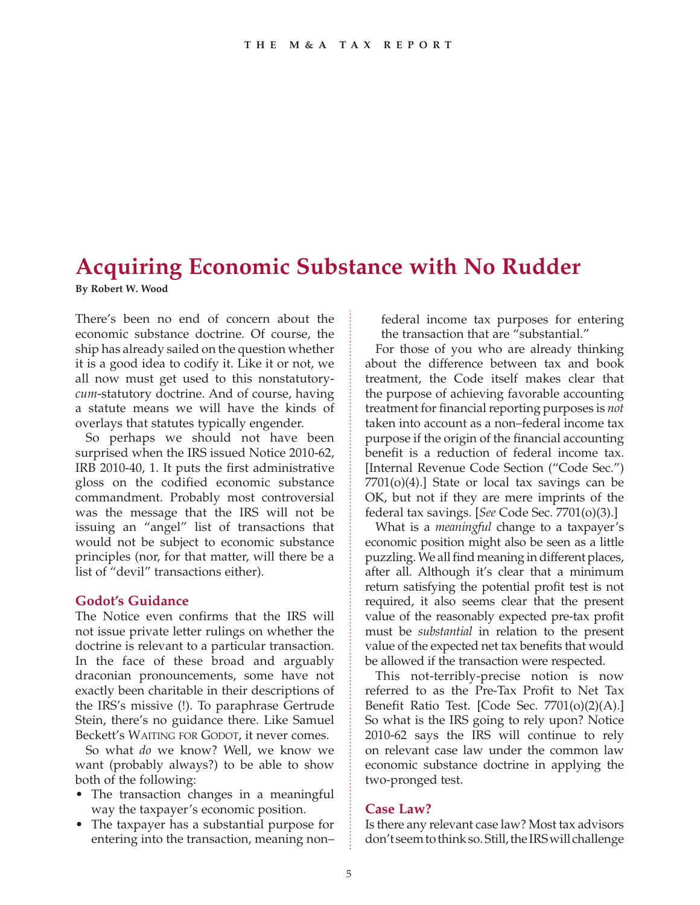# **Acquiring Economic Substance with No Rudder By Robert W. Wood**

There's been no end of concern about the economic substance doctrine. Of course, the ship has already sailed on the question whether it is a good idea to codify it. Like it or not, we all now must get used to this nonstatutory*cum*-statutory doctrine. And of course, having a statute means we will have the kinds of overlays that statutes typically engender.

So perhaps we should not have been surprised when the IRS issued Notice 2010-62, IRB 2010-40, 1. It puts the first administrative gloss on the codified economic substance commandment. Probably most controversial was the message that the IRS will not be issuing an "angel" list of transactions that would not be subject to economic substance principles (nor, for that matter, will there be a list of "devil" transactions either).

# **Godot's Guidance**

The Notice even confirms that the IRS will not issue private letter rulings on whether the doctrine is relevant to a particular transaction. In the face of these broad and arguably draconian pronouncements, some have not exactly been charitable in their descriptions of the IRS's missive (!). To paraphrase Gertrude Stein, there's no guidance there. Like Samuel Beckett's WAITING FOR GODOT, it never comes.

So what *do* we know? Well, we know we want (probably always?) to be able to show both of the following:

- The transaction changes in a meaningful way the taxpayer's economic position.
- The taxpayer has a substantial purpose for entering into the transaction, meaning non–

federal income tax purposes for entering the transaction that are "substantial."

For those of you who are already thinking about the difference between tax and book treatment, the Code itself makes clear that the purpose of achieving favorable accounting treatment for financial reporting purposes is *not* taken into account as a non–federal income tax purpose if the origin of the financial accounting benefit is a reduction of federal income tax. [Internal Revenue Code Section ("Code Sec.")  $7701(0)(4)$ .] State or local tax savings can be OK, but not if they are mere imprints of the federal tax savings. [*See* Code Sec. 7701(o)(3).]

What is a *meaningful* change to a taxpayer's economic position might also be seen as a little puzzling. We all find meaning in different places, after all. Although it's clear that a minimum return satisfying the potential profit test is not required, it also seems clear that the present value of the reasonably expected pre-tax profit must be *substantial* in relation to the present value of the expected net tax benefits that would be allowed if the transaction were respected.

This not-terribly-precise notion is now referred to as the Pre-Tax Profit to Net Tax Benefit Ratio Test. [Code Sec. 7701(o)(2)(A).] So what is the IRS going to rely upon? Notice 2010-62 says the IRS will continue to rely on relevant case law under the common law economic substance doctrine in applying the two-pronged test.

# **Case Law?**

Is there any relevant case law? Most tax advisors don't seem to think so. Still, the IRS will challenge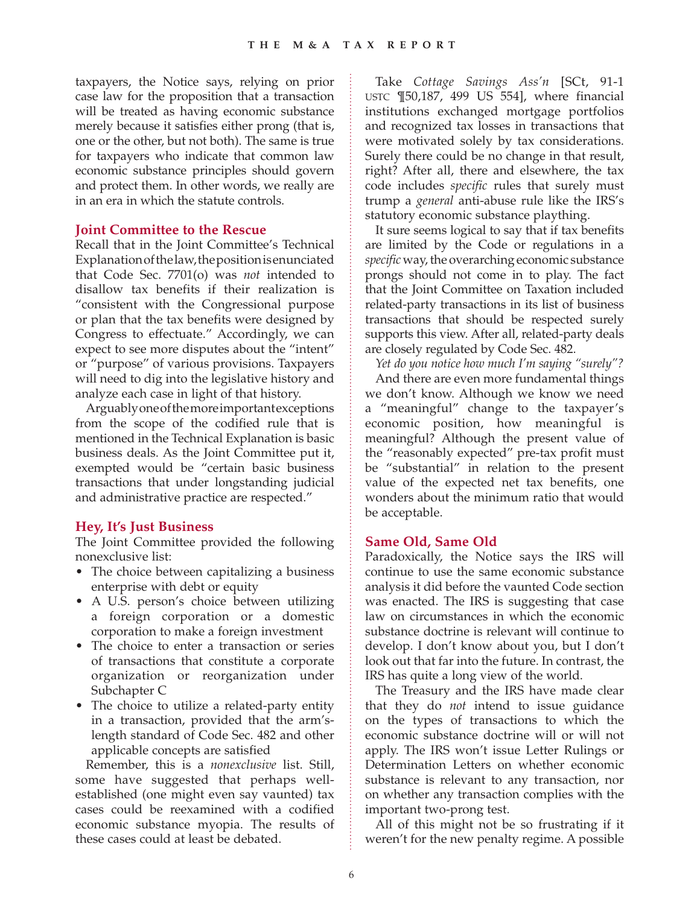taxpayers, the Notice says, relying on prior case law for the proposition that a transaction will be treated as having economic substance merely because it satisfies either prong (that is, one or the other, but not both). The same is true for taxpayers who indicate that common law economic substance principles should govern and protect them. In other words, we really are in an era in which the statute controls.

#### **Joint Committee to the Rescue**

Recall that in the Joint Committee's Technical Explanation of the law, the position is enunciated that Code Sec. 7701(o) was *not* intended to disallow tax benefits if their realization is "consistent with the Congressional purpose or plan that the tax benefits were designed by Congress to effectuate." Accordingly, we can expect to see more disputes about the "intent" or "purpose" of various provisions. Taxpayers will need to dig into the legislative history and analyze each case in light of that history.

Arguably one of the more important exceptions from the scope of the codified rule that is mentioned in the Technical Explanation is basic business deals. As the Joint Committee put it, exempted would be "certain basic business transactions that under longstanding judicial and administrative practice are respected."

#### **Hey, It's Just Business**

The Joint Committee provided the following nonexclusive list:

- The choice between capitalizing a business enterprise with debt or equity
- A U.S. person's choice between utilizing a foreign corporation or a domestic corporation to make a foreign investment
- The choice to enter a transaction or series of transactions that constitute a corporate organization or reorganization under Subchapter C
- The choice to utilize a related-party entity in a transaction, provided that the arm'slength standard of Code Sec. 482 and other applicable concepts are satisfied

Remember, this is a *nonexclusive* list. Still, some have suggested that perhaps wellestablished (one might even say vaunted) tax cases could be reexamined with a codified economic substance myopia. The results of these cases could at least be debated.

Take *Cottage Savings Ass'n* [SCt, 91-1 USTC ¶50,187, 499 US 554], where financial institutions exchanged mortgage portfolios and recognized tax losses in transactions that were motivated solely by tax considerations. Surely there could be no change in that result, right? After all, there and elsewhere, the tax code includes *specific* rules that surely must trump a *general* anti-abuse rule like the IRS's statutory economic substance plaything.

It sure seems logical to say that if tax benefits are limited by the Code or regulations in a *specific* way, the overarching economic substance prongs should not come in to play. The fact that the Joint Committee on Taxation included related-party transactions in its list of business transactions that should be respected surely supports this view. After all, related-party deals are closely regulated by Code Sec. 482.

*Yet do you notice how much I'm saying "surely"?* And there are even more fundamental things we don't know. Although we know we need a "meaningful" change to the taxpayer's economic position, how meaningful is meaningful? Although the present value of the "reasonably expected" pre-tax profit must be "substantial" in relation to the present value of the expected net tax benefits, one wonders about the minimum ratio that would be acceptable.

## **Same Old, Same Old**

Paradoxically, the Notice says the IRS will continue to use the same economic substance analysis it did before the vaunted Code section was enacted. The IRS is suggesting that case law on circumstances in which the economic substance doctrine is relevant will continue to develop. I don't know about you, but I don't look out that far into the future. In contrast, the IRS has quite a long view of the world.

The Treasury and the IRS have made clear that they do *not* intend to issue guidance on the types of transactions to which the economic substance doctrine will or will not apply. The IRS won't issue Letter Rulings or Determination Letters on whether economic substance is relevant to any transaction, nor on whether any transaction complies with the important two-prong test.

All of this might not be so frustrating if it weren't for the new penalty regime. A possible